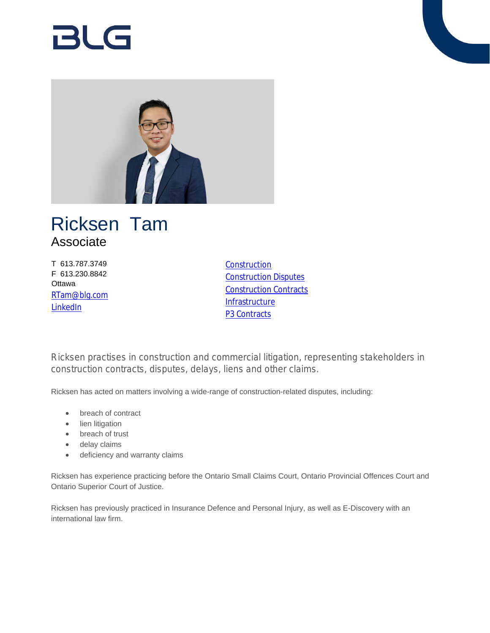# RI G



## Ricksen Tam Associate

T 613.787.3749 F 613.230.8842 **Ottawa** [RTam@blg.com](mailto:RTam@blg.com) **[LinkedIn](https://www.linkedin.com/in/ricksen-tam-26436a63/)** 

**[Construction](https://www.blg.com/en/services/practice-areas/construction)** [Construction Disputes](https://www.blg.com/en/services/practice-areas/disputes/construction-disputes) [Construction Contracts](https://www.blg.com/en/services/practice-areas/construction/construction-contracts) **[Infrastructure](https://www.blg.com/en/services/industries/infrastructure)** P<sub>3</sub> Contracts

Ricksen practises in construction and commercial litigation, representing stakeholders in construction contracts, disputes, delays, liens and other claims.

Ricksen has acted on matters involving a wide-range of construction-related disputes, including:

- breach of contract
- lien litigation
- breach of trust
- delay claims
- deficiency and warranty claims

Ricksen has experience practicing before the Ontario Small Claims Court, Ontario Provincial Offences Court and Ontario Superior Court of Justice.

Ricksen has previously practiced in Insurance Defence and Personal Injury, as well as E-Discovery with an international law firm.